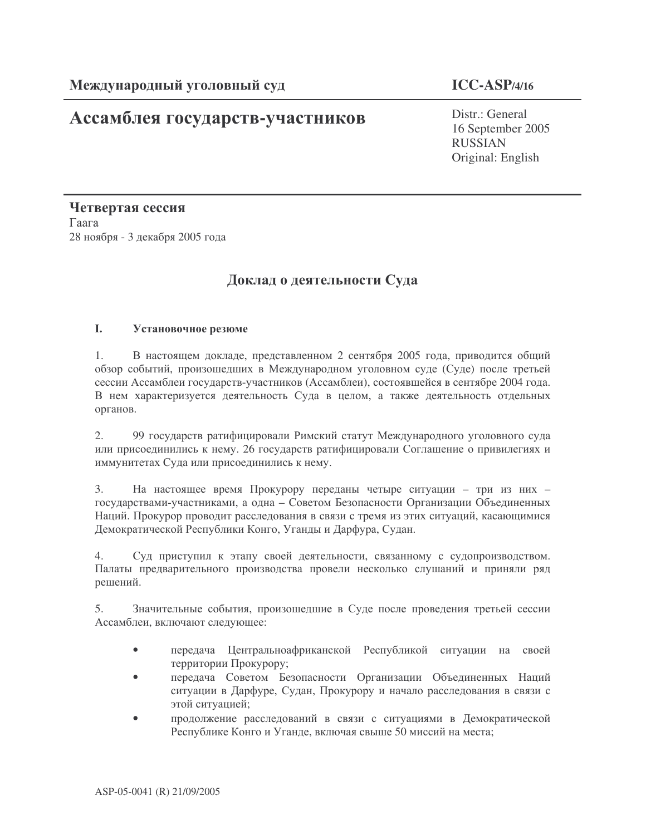# Ассамблея государств-участников

# $ICC-ASP/4/16$

Distr.: General 16 September 2005 **RUSSIAN** Original: English

## Четвертая сессия Гаага 28 ноября - 3 декабря 2005 года

## Доклад о деятельности Суда

#### L. Установочное резюме

 $1.$ В настоящем докладе, представленном 2 сентября 2005 года, приводится общий обзор событий, произошедших в Международном уголовном суде (Суде) после третьей сессии Ассамблеи государств-участников (Ассамблеи), состоявшейся в сентябре 2004 года. В нем характеризуется деятельность Суда в целом, а также деятельность отдельных органов.

 $2.$ 99 государств ратифицировали Римский статут Международного уголовного суда или присоединились к нему. 26 государств ратифицировали Соглашение о привилегиях и иммунитетах Суда или присоединились к нему.

 $3.$ На настоящее время Прокурору переданы четыре ситуации - три из них государствами-участниками, а одна - Советом Безопасности Организации Объединенных Наций. Прокурор проводит расследования в связи с тремя из этих ситуаций, касающимися Демократической Республики Конго, Уганды и Дарфура, Судан.

Суд приступил к этапу своей деятельности, связанному с судопроизводством. 4. Палаты предварительного производства провели несколько слушаний и приняли ряд решений.

5. Значительные события, произошедшие в Суде после проведения третьей сессии Ассамблеи, включают следующее:

- передача Центральноафриканской Республикой ситуации на своей  $\bullet$ территории Прокурору;
- передача Советом Безопасности Организации Объединенных Наций ситуации в Дарфуре, Судан, Прокурору и начало расследования в связи с этой ситуацией;
- продолжение расследований в связи с ситуациями в Демократической Республике Конго и Уганде, включая свыше 50 миссий на места;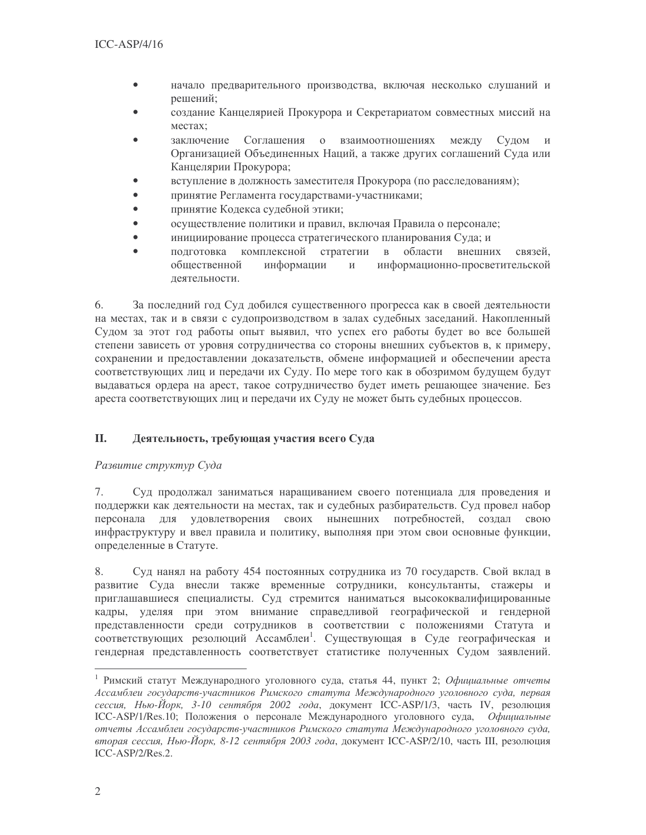- начало предварительного производства, включая несколько слушаний и  $\bullet$ решений;
- создание Канцелярией Прокурора и Секретариатом совместных миссий на  $\bullet$ местах:
- заключение Соглашения о взаимоотношениях между Судом  $\overline{M}$ Организацией Объединенных Наций, а также других соглашений Суда или Канцелярии Прокурора;
- вступление в должность заместителя Прокурора (по расследованиям);
- принятие Регламента государствами-участниками;
- принятие Кодекса судебной этики;
- осуществление политики и правил, включая Правила о персонале;
- инициирование процесса стратегического планирования Суда; и  $\bullet$
- полготовка комплексной стратегии  $\mathbf{B}$ области внешних связей. обшественной информации информационно-просветительской  $\mathbf{M}$ леятельности.

6. За последний год Суд добился существенного прогресса как в своей деятельности на местах, так и в связи с судопроизводством в залах судебных заседаний. Накопленный Судом за этот год работы опыт выявил, что успех его работы будет во все большей степени зависеть от уровня сотрудничества со стороны внешних субъектов в, к примеру, сохранении и предоставлении доказательств, обмене информацией и обеспечении ареста соответствующих лиц и передачи их Суду. По мере того как в обозримом будущем будут выдаваться ордера на арест, такое сотрудничество будет иметь решающее значение. Без ареста соответствующих лиц и передачи их Суду не может быть судебных процессов.

#### II. Деятельность, требующая участия всего Суда

### Развитие структур Суда

7. Суд продолжал заниматься наращиванием своего потенциала для проведения и поддержки как деятельности на местах, так и судебных разбирательств. Суд провел набор персонала для удовлетворения своих нынешних потребностей, создал свою инфраструктуру и ввел правила и политику, выполняя при этом свои основные функции, определенные в Статуте.

8. Суд нанял на работу 454 постоянных сотрудника из 70 государств. Свой вклад в развитие Суда внесли также временные сотрудники, консультанты, стажеры и приглашавшиеся специалисты. Суд стремится наниматься высококвалифицированные кадры, уделяя при этом внимание справедливой географической и гендерной представленности среди сотрудников в соответствии с положениями Статута и соответствующих резолюций Ассамблеи<sup>1</sup>. Существующая в Суде географическая и гендерная представленность соответствует статистике полученных Судом заявлений.

<sup>&</sup>lt;sup>1</sup> Римский статут Международного уголовного суда, статья 44, пункт 2; Официальные отчеты Ассамблеи государств-участников Римского статута Международного уголовного суда, первая сессия, Нью-Йорк, 3-10 сентября 2002 года, документ ICC-ASP/1/3, часть IV, резолюция ICC-ASP/1/Res.10; Положения о персонале Международного уголовного суда, Официальные отчеты Ассамблеи государств-участников Римского статута Международного уголовного суда, вторая сессия, Нью-Йорк, 8-12 сентября 2003 года, документ ICC-ASP/2/10, часть III, резолюция ICC-ASP/2/Res.2.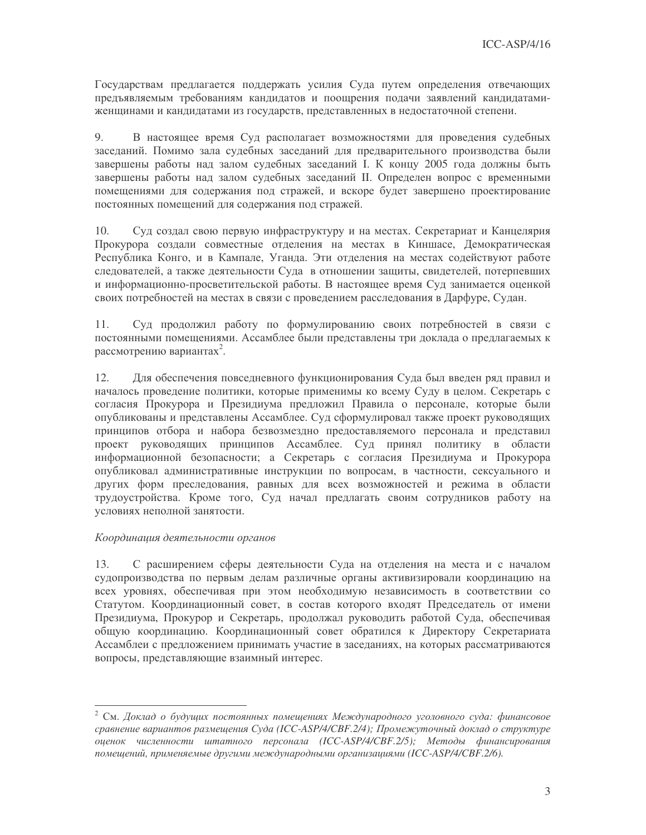Государствам предлагается поддержать усилия Суда путем определения отвечающих предъявляемым требованиям кандидатов и поощрения подачи заявлений кандидатамиженщинами и кандидатами из государств, представленных в недостаточной степени.

9. В настоящее время Суд располагает возможностями для проведения судебных заседаний. Помимо зала судебных заседаний для предварительного производства были завершены работы над залом судебных заседаний І. К концу 2005 года должны быть завершены работы над залом судебных заседаний II. Определен вопрос с временными помещениями для содержания под стражей, и вскоре будет завершено проектирование постоянных помещений для содержания под стражей.

Суд создал свою первую инфраструктуру и на местах. Секретариат и Канцелярия 10. Прокурора создали совместные отделения на местах в Киншасе, Демократическая Республика Конго, и в Кампале, Уганда. Эти отделения на местах содействуют работе следователей, а также деятельности Суда в отношении защиты, свидетелей, потерпевших и информационно-просветительской работы. В настоящее время Суд занимается оценкой своих потребностей на местах в связи с проведением расследования в Дарфуре, Судан.

 $11.$ Суд продолжил работу по формулированию своих потребностей в связи с постоянными помещениями. Ассамблее были представлены три доклада о предлагаемых к рассмотрению вариантах<sup>2</sup>.

Для обеспечения повседневного функционирования Суда был введен ряд правил и  $12.$ началось проведение политики, которые применимы ко всему Суду в целом. Секретарь с согласия Прокурора и Президиума предложил Правила о персонале, которые были опубликованы и представлены Ассамблее. Суд сформулировал также проект руководящих принципов отбора и набора безвозмездно предоставляемого персонала и представил проект руководящих принципов Ассамблее. Суд принял политику в области информационной безопасности; а Секретарь с согласия Президиума и Прокурора опубликовал административные инструкции по вопросам, в частности, сексуального и других форм преследования, равных для всех возможностей и режима в области трудоустройства. Кроме того, Суд начал предлагать своим сотрудников работу на условиях неполной занятости.

### Координация деятельности органов

13. С расширением сферы деятельности Суда на отделения на места и с началом судопроизводства по первым делам различные органы активизировали координацию на всех уровнях, обеспечивая при этом необходимую независимость в соответствии со Статутом. Координационный совет, в состав которого входят Председатель от имени Президиума, Прокурор и Секретарь, продолжал руководить работой Суда, обеспечивая общую координацию. Координационный совет обратился к Директору Секретариата Ассамблеи с предложением принимать участие в заседаниях, на которых рассматриваются вопросы, представляющие взаимный интерес.

<sup>&</sup>lt;sup>2</sup> См. Доклад о будущих постоянных помещениях Международного уголовного суда: финансовое сравнение вариантов размещения Суда (ICC-ASP/4/CBF.2/4); Промежуточный доклад о структуре оценок численности штатного персонала (ICC-ASP/4/CBF.2/5); Методы финансирования помещений, применяемые другими международными организациями (ICC-ASP/4/CBF.2/6).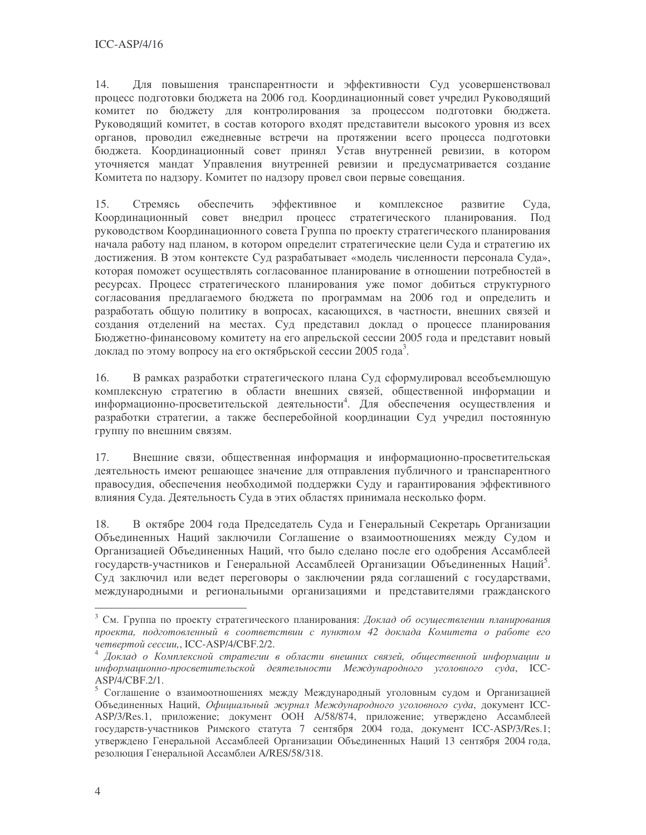Для повышения транспарентности и эффективности Суд усовершенствовал  $14$ процесс подготовки бюджета на 2006 год. Координационный совет учредил Руководящий комитет по бюджету для контролирования за процессом подготовки бюджета. Руководящий комитет, в состав которого входят представители высокого уровня из всех органов, проводил ежедневные встречи на протяжении всего процесса подготовки бюджета. Координационный совет принял Устав внутренней ревизии, в котором уточняется мандат Управления внутренней ревизии и предусматривается создание Комитета по надзору. Комитет по надзору провел свои первые совещания.

15. Стремясь обеспечить эффективное  $\,$   $\,$   $\,$ развитие комплексное Суда. Координационный совет внедрил процесс стратегического планирования. Под руководством Координационного совета Группа по проекту стратегического планирования начала работу над планом, в котором определит стратегические цели Суда и стратегию их достижения. В этом контексте Суд разрабатывает «модель численности персонала Суда», которая поможет осуществлять согласованное планирование в отношении потребностей в ресурсах. Процесс стратегического планирования уже помог добиться структурного согласования предлагаемого бюджета по программам на 2006 год и определить и разработать общую политику в вопросах, касающихся, в частности, внешних связей и создания отделений на местах. Суд представил доклад о процессе планирования Бюджетно-финансовому комитету на его апрельской сессии 2005 года и представит новый доклад по этому вопросу на его октябрьской сессии 2005 года<sup>3</sup>.

В рамках разработки стратегического плана Суд сформулировал всеобъемлющую 16. комплексную стратегию в области внешних связей, общественной информации и информационно-просветительской деятельности<sup>4</sup>. Для обеспечения осуществления и разработки стратегии, а также бесперебойной координации Суд учредил постоянную группу по внешним связям.

Внешние связи, общественная информация и информационно-просветительская 17. деятельность имеют решающее значение для отправления публичного и транспарентного правосудия, обеспечения необходимой поддержки Суду и гарантирования эффективного влияния Суда. Деятельность Суда в этих областях принимала несколько форм.

18. В октябре 2004 года Председатель Суда и Генеральный Секретарь Организации Объединенных Наций заключили Соглашение о взаимоотношениях между Судом и Организацией Объединенных Наций, что было сделано после его одобрения Ассамблеей государств-участников и Генеральной Ассамблеей Организации Объединенных Наций<sup>5</sup>. Суд заключил или ведет переговоры о заключении ряда соглашений с государствами, международными и региональными организациями и представителями гражданского

<sup>&</sup>lt;sup>3</sup> См. Группа по проекту стратегического планирования: Доклад об осуществлении планирования проекта, подготовленный в соответствии с пунктом 42 доклада Комитета о работе его четвертой сессии,, ICC-ASP/4/CBF.2/2.

Доклад о Комплексной стратегии в области внешних связей, общественной информации и информационно-просветительской деятельности Международного уголовного суда, ICC- $ASP/4/CBF.2/1.$ 

<sup>&</sup>lt;sup>5</sup> Соглашение о взаимоотношениях между Международный уголовным судом и Организацией Объединенных Наций, Официальный журнал Международного уголовного суда, документ ICC-ASP/3/Res.1, приложение; документ ООН A/58/874, приложение; утверждено Ассамблеей государств-участников Римского статута 7 сентября 2004 года, документ ICC-ASP/3/Res.1; утверждено Генеральной Ассамблеей Организации Объединенных Наций 13 сентября 2004 года, резолюция Генеральной Ассамблеи A/RES/58/318.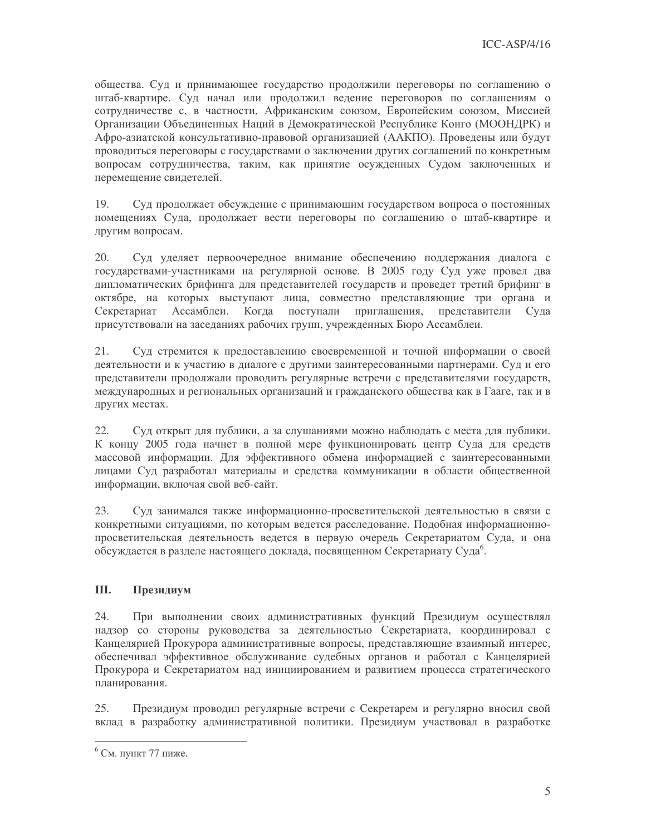общества. Суд и принимающее государство продолжили переговоры по соглашению о штаб-квартире. Суд начал или продолжил ведение переговоров по соглашениям о сотрудничестве с, в частности, Африканским союзом, Европейским союзом, Миссией Организации Объединенных Наций в Демократической Республике Конго (МООНДРК) и Афро-азиатской консультативно-правовой организацией (ААКПО). Проведены или будут проводиться переговоры с государствами о заключении других соглашений по конкретным вопросам сотрудничества, таким, как принятие осужденных Судом заключенных и перемещение свидетелей.

19. Суд продолжает обсуждение с принимающим государством вопроса о постоянных помещениях Суда, продолжает вести переговоры по соглашению о штаб-квартире и другим вопросам.

20. Суд уделяет первоочередное внимание обеспечению поддержания диалога с государствами-участниками на регулярной основе. В 2005 году Суд уже провел два дипломатических брифинга для представителей государств и проведет третий брифинг в октябре, на которых выступают лица, совместно представляющие три органа и Секретариат Ассамблеи. Когда поступали приглашения, представители Сула присутствовали на заседаниях рабочих групп, учрежденных Бюро Ассамблеи.

Суд стремится к предоставлению своевременной и точной информации о своей 21. деятельности и к участию в диалоге с другими заинтересованными партнерами. Суд и его представители продолжали проводить регулярные встречи с представителями государств, международных и региональных организаций и гражданского общества как в Гааге, так и в других местах.

22. Сул открыт лля публики, а за слушаниями можно наблюдать с места лля публики. К концу 2005 года начнет в полной мере функционировать центр Суда для средств массовой информации. Для эффективного обмена информацией с заинтересованными лицами Суд разработал материалы и средства коммуникации в области общественной информации, включая свой веб-сайт.

23. Суд занимался также информационно-просветительской деятельностью в связи с конкретными ситуациями, по которым ведется расследование. Подобная информационнопросветительская деятельность ведется в первую очередь Секретариатом Суда, и она обсуждается в разделе настоящего доклада, посвященном Секретариату Суда<sup>6</sup>.

#### III. Президиум

24. При выполнении своих административных функций Президиум осуществлял надзор со стороны руководства за деятельностью Секретариата, координировал с Канцелярией Прокурора административные вопросы, представляющие взаимный интерес, обеспечивал эффективное обслуживание судебных органов и работал с Канцелярией Прокурора и Секретариатом над инициированием и развитием процесса стратегического планирования.

Президиум проводил регулярные встречи с Секретарем и регулярно вносил свой 25. вклад в разработку административной политики. Президиум участвовал в разработке

 $6$  См. пункт 77 ниже.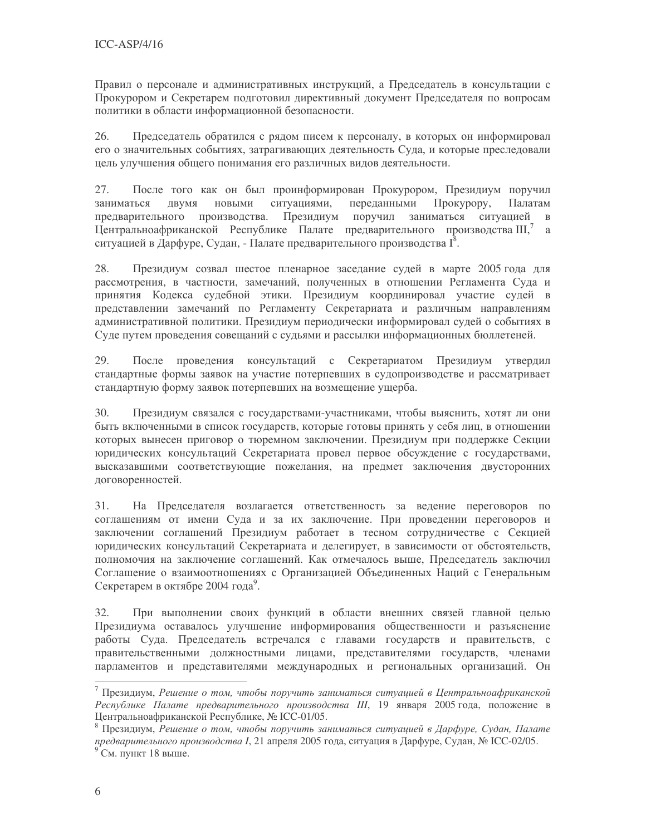Правил о персонале и административных инструкций, а Председатель в консультации с Прокурором и Секретарем подготовил директивный документ Председателя по вопросам политики в области информационной безопасности.

26. Председатель обратился с рядом писем к персоналу, в которых он информировал его о значительных событиях, затрагивающих деятельность Суда, и которые преследовали цель улучшения общего понимания его различных видов деятельности.

27. После того как он был проинформирован Прокурором, Президиум поручил заниматься ДВУМЯ новыми ситуациями, переданными Прокурору, Палатам Президиум поручил заниматься ситуацией в предварительного производства. Центральноафриканской Республике Палате предварительного производства  $III$ , а ситуацией в Дарфуре, Судан, - Палате предварительного производства I<sup>8</sup>.

28. Президиум созвал шестое пленарное заседание судей в марте 2005 года для рассмотрения, в частности, замечаний, полученных в отношении Регламента Суда и принятия Кодекса судебной этики. Президиум координировал участие судей в представлении замечаний по Регламенту Секретариата и различным направлениям административной политики. Президиум периодически информировал судей о событиях в Суде путем проведения совещаний с судьями и рассылки информационных бюллетеней.

29. проведения консультаций с Секретариатом Президиум утвердил После стандартные формы заявок на участие потерпевших в судопроизводстве и рассматривает стандартную форму заявок потерпевших на возмещение ущерба.

30. Президиум связался с государствами-участниками, чтобы выяснить, хотят ли они быть включенными в список государств, которые готовы принять у себя лиц, в отношении которых вынесен приговор о тюремном заключении. Президиум при поддержке Секции юридических консультаций Секретариата провел первое обсуждение с государствами, высказавшими соответствующие пожелания, на предмет заключения двусторонних договоренностей.

31. На Председателя возлагается ответственность за ведение переговоров по соглашениям от имени Суда и за их заключение. При проведении переговоров и заключении соглашений Президиум работает в тесном сотрудничестве с Секцией юридических консультаций Секретариата и делегирует, в зависимости от обстоятельств, полномочия на заключение соглашений. Как отмечалось выше, Председатель заключил Соглашение о взаимоотношениях с Организацией Объединенных Наций с Генеральным Секретарем в октябре 2004 года<sup>9</sup>.

32. При выполнении своих функций в области внешних связей главной целью Президиума оставалось улучшение информирования общественности и разъяснение работы Суда. Председатель встречался с главами государств и правительств, с правительственными должностными лицами, представителями государств, членами парламентов и представителями международных и региональных организаций. Он

<sup>&</sup>lt;sup>7</sup> Президиум, Решение о том, чтобы поручить заниматься ситуацией в Центральноафриканской Республике Палате предварительного производства III, 19 января 2005 года, положение в Центральноафриканской Республике, № ICC-01/05.

<sup>&</sup>lt;sup>8</sup> Президиум, Решение о том, чтобы поручить заниматься ситуацией в Дарфуре, Судан, Палате предварительного производства I, 21 апреля 2005 года, ситуация в Дарфуре, Судан, № ICC-02/05.  $9^{\circ}$ См. пункт 18 выше.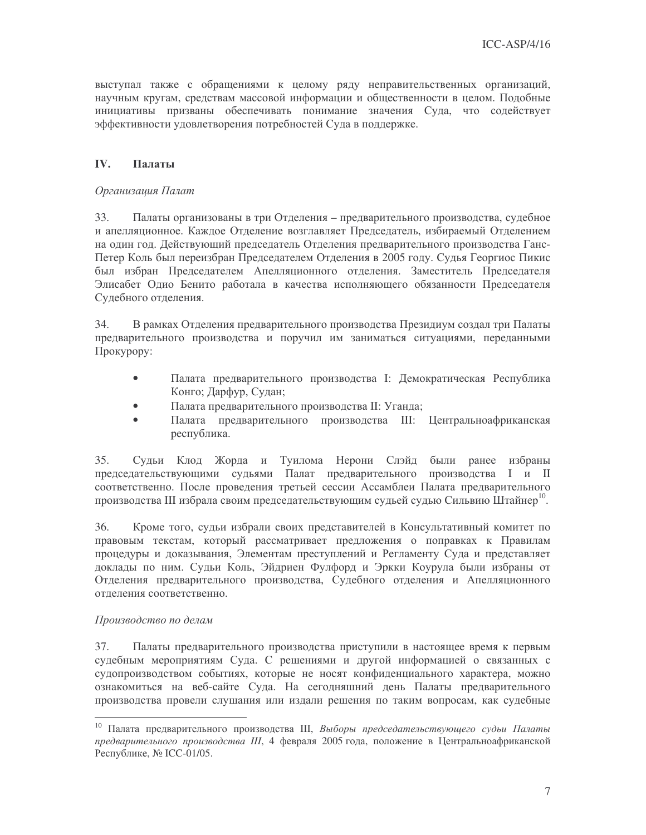выступал также с обращениями к целому ряду неправительственных организаций, научным кругам, средствам массовой информации и общественности в целом. Подобные инициативы призваны обеспечивать понимание значения Суда, что содействует эффективности удовлетворения потребностей Суда в поддержке.

#### IV. Палаты

### Организация Палат

33. Палаты организованы в три Отделения – предварительного производства, судебное и апелляционное. Каждое Отделение возглавляет Председатель, избираемый Отделением на один год. Действующий председатель Отделения предварительного производства Ганс-Петер Коль был переизбран Председателем Отделения в 2005 году. Судья Георгиос Пикис был избран Председателем Апелляционного отделения. Заместитель Председателя Элисабет Одио Бенито работала в качества исполняющего обязанности Председателя Судебного отделения.

34. В рамках Отделения предварительного производства Президиум создал три Палаты предварительного производства и поручил им заниматься ситуациями, переданными Прокурору:

- Палата предварительного производства І: Демократическая Республика  $\bullet$ Конго; Дарфур, Судан;
- Палата предварительного производства II: Уганда;
- Палата предварительного производства III: Центральноафриканская  $\bullet$ республика.

Судьи Клод Жорда и Туилома Нерони Слэйд были ранее избраны 35. председательствующими судьями Палат предварительного производства I и II соответственно. После проведения третьей сессии Ассамблеи Палата предварительного производства III избрала своим председательствующим судьей судью Сильвию Штайнер<sup>10</sup>.

36. Кроме того, судьи избрали своих представителей в Консультативный комитет по правовым текстам, который рассматривает предложения о поправках к Правилам процедуры и доказывания. Элементам преступлений и Регламенту Суда и представляет доклады по ним. Судьи Коль, Эйдриен Фулфорд и Эркки Коурула были избраны от Отделения предварительного производства, Судебного отделения и Апелляционного отлеления соответственно.

### Производство по делам

37. Палаты предварительного производства приступили в настоящее время к первым судебным мероприятиям Суда. С решениями и другой информацией о связанных с судопроизводством событиях, которые не носят конфиденциального характера, можно ознакомиться на веб-сайте Суда. На сегодняшний день Палаты предварительного производства провели слушания или издали решения по таким вопросам, как судебные

<sup>&</sup>lt;sup>10</sup> Палата предварительного производства III, Выборы председательствующего судьи Палаты предварительного производства III, 4 февраля 2005 года, положение в Центральноафриканской Республике, № ICC-01/05.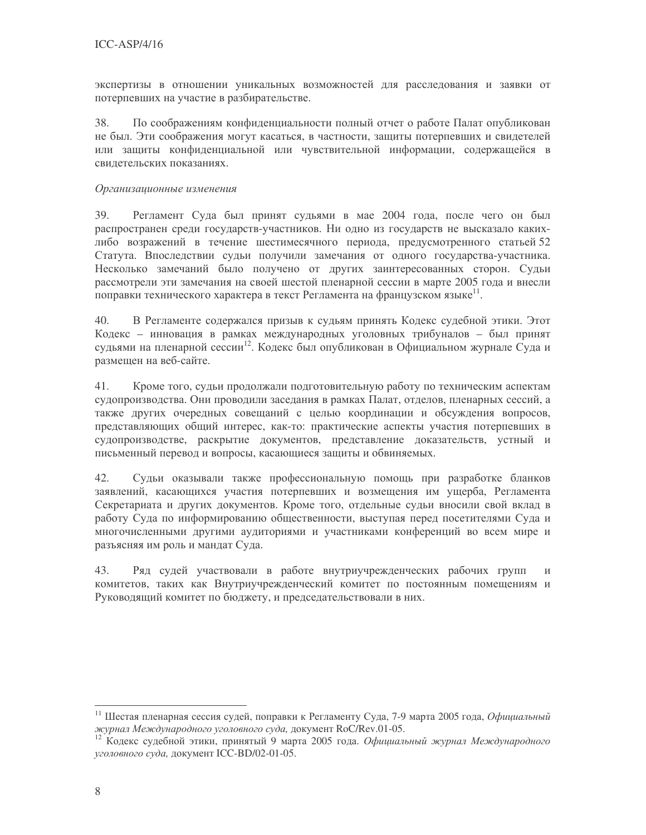экспертизы в отношении уникальных возможностей для расследования и заявки от потерпевших на участие в разбирательстве.

38. По соображениям конфиденциальности полный отчет о работе Палат опубликован не был. Эти соображения могут касаться, в частности, защиты потерпевших и свидетелей или защиты конфиденциальной или чувствительной информации, содержащейся в свидетельских показаниях.

### Организационные изменения

39. Регламент Суда был принят судьями в мае 2004 года, после чего он был распространен среди государств-участников. Ни одно из государств не высказало какихлибо возражений в течение шестимесячного периода, предусмотренного статьей 52 Статута. Впоследствии судьи получили замечания от одного государства-участника. Несколько замечаний было получено от других заинтересованных сторон. Судьи рассмотрели эти замечания на своей шестой пленарной сессии в марте 2005 года и внесли поправки технического характера в текст Регламента на французском языке<sup>11</sup>.

40. В Регламенте содержался призыв к судьям принять Кодекс судебной этики. Этот Кодекс - инновация в рамках международных уголовных трибуналов - был принят судьями на пленарной сессии<sup>12</sup>. Кодекс был опубликован в Официальном журнале Суда и размещен на веб-сайте.

41. Кроме того, судьи продолжали подготовительную работу по техническим аспектам судопроизводства. Они проводили заседания в рамках Палат, отделов, пленарных сессий, а также других очередных совещаний с целью координации и обсуждения вопросов, представляющих общий интерес, как-то: практические аспекты участия потерпевших в судопроизводстве, раскрытие документов, представление доказательств, устный и письменный перевод и вопросы, касающиеся защиты и обвиняемых.

42. Судьи оказывали также профессиональную помощь при разработке бланков заявлений, касающихся участия потерпевших и возмещения им ущерба, Регламента Секретариата и других документов. Кроме того, отдельные судьи вносили свой вклад в работу Суда по информированию общественности, выступая перед посетителями Суда и многочисленными другими аудиториями и участниками конференций во всем мире и разъясняя им роль и мандат Суда.

Ряд судей участвовали в работе внутриучрежденческих рабочих групп 43.  $\mathbf{M}$ комитетов, таких как Внутриучрежденческий комитет по постоянным помещениям и Руководящий комитет по бюджету, и председательствовали в них.

<sup>&</sup>lt;sup>11</sup> Шестая пленарная сессия судей, поправки к Регламенту Суда, 7-9 марта 2005 года, Официальный журнал Международного уголовного суда, документ RoC/Rev.01-05.

<sup>12</sup> Кодекс судебной этики, принятый 9 марта 2005 года. Официальный журнал Международного уголовного суда, документ ICC-BD/02-01-05.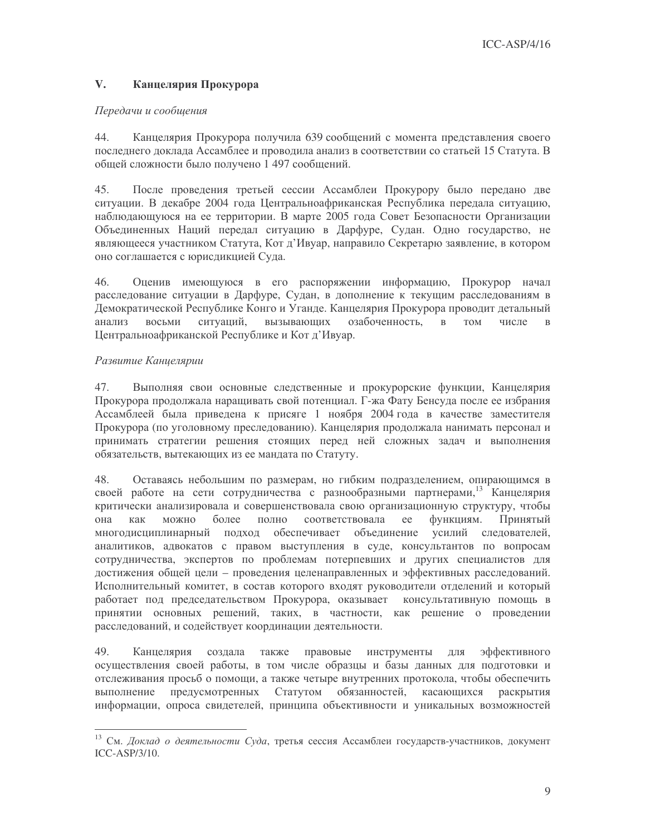#### $V_{\cdot}$ Канцелярия Прокурора

### Передачи и сообщения

44. Канцелярия Прокурора получила 639 сообщений с момента представления своего последнего доклада Ассамблее и проводила анализ в соответствии со статьей 15 Статута. В общей сложности было получено 1 497 сообщений.

45. После проведения третьей сессии Ассамблеи Прокурору было передано две ситуации. В декабре 2004 года Центральноафриканская Республика передала ситуацию, наблюдающуюся на ее территории. В марте 2005 года Совет Безопасности Организации Объединенных Наций передал ситуацию в Дарфуре, Судан. Одно государство, не являющееся участником Статута, Кот д'Ивуар, направило Секретарю заявление, в котором оно соглашается с юрисдикцией Суда.

46. Оценив имеющуюся в его распоряжении информацию, Прокурор начал расследование ситуации в Дарфуре, Судан, в дополнение к текущим расследованиям в Демократической Республике Конго и Уганде. Канцелярия Прокурора проводит детальный анализ ситуаций, вызывающих озабоченность. восьми  $\mathbf{B}$ TOM числе  $\mathbf{R}$ Центральноафриканской Республике и Кот д'Ивуар.

### Развитие Канцелярии

47. Выполняя свои основные следственные и прокурорские функции, Канцелярия Прокурора продолжала наращивать свой потенциал. Г-жа Фату Бенсуда после ее избрания Ассамблеей была приведена к присяге 1 ноября 2004 года в качестве заместителя Прокурора (по уголовному преследованию). Канцелярия продолжала нанимать персонал и принимать стратегии решения стоящих перед ней сложных задач и выполнения обязательств, вытекающих из ее манлата по Статуту.

Оставаясь небольшим по размерам, но гибким подразделением, опирающимся в 48. своей работе на сети сотрудничества с разнообразными партнерами,<sup>13</sup> Канцелярия критически анализировала и совершенствовала свою организационную структуру, чтобы функциям. она как можно более полно соответствовала ee Принятый многодисциплинарный подход обеспечивает объединение усилий следователей, аналитиков, адвокатов с правом выступления в суде, консультантов по вопросам сотрудничества, экспертов по проблемам потерпевших и других специалистов для достижения общей цели - проведения целенаправленных и эффективных расследований. Исполнительный комитет, в состав которого входят руководители отделений и который работает под председательством Прокурора, оказывает консультативную помощь в принятии основных решений, таких, в частности, как решение о проведении расследований, и содействует координации деятельности.

49. Канцелярия создала также правовые инструменты ЛЛЯ эффективного осуществления своей работы, в том числе образцы и базы данных для подготовки и отслеживания просьб о помощи, а также четыре внутренних протокола, чтобы обеспечить раскрытия выполнение предусмотренных Статутом обязанностей, касающихся информации, опроса свидетелей, принципа объективности и уникальных возможностей

<sup>13</sup> См. Доклад о деятельности Суда, третья сессия Ассамблеи государств-участников, документ  $ICC-ASP/3/10.$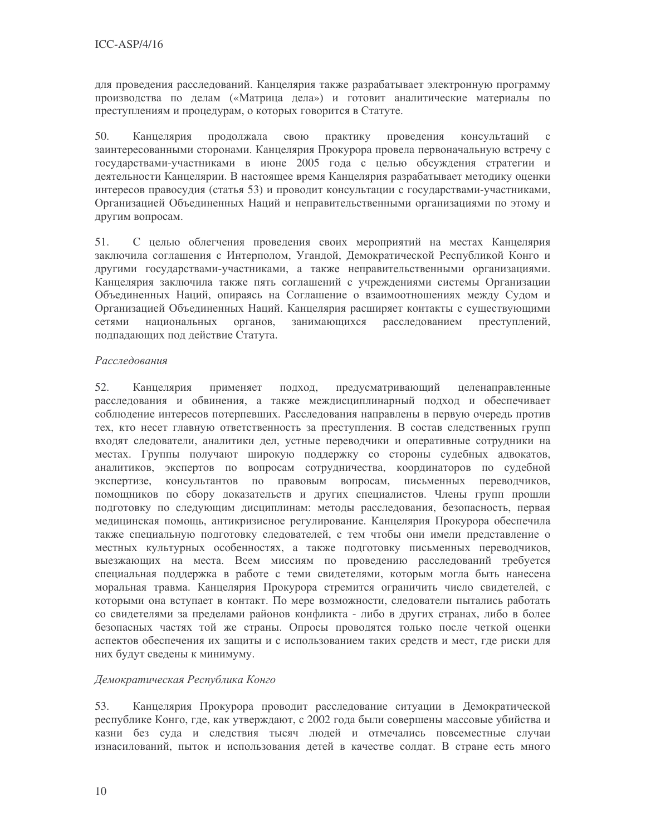для проведения расследований. Канцелярия также разрабатывает электронную программу производства по делам («Матрица дела») и готовит аналитические материалы по преступлениям и процедурам, о которых говорится в Статуте.

50. Канцелярия продолжала свою практику проведения консультаций заинтересованными сторонами. Канцелярия Прокурора провела первоначальную встречу с государствами-участниками в июне 2005 года с целью обсуждения стратегии и деятельности Канцелярии. В настоящее время Канцелярия разрабатывает методику оценки интересов правосудия (статья 53) и проводит консультации с государствами-участниками, Организацией Объединенных Наций и неправительственными организациями по этому и другим вопросам.

51. С целью облегчения проведения своих мероприятий на местах Канцелярия заключила соглашения с Интерполом, Угандой, Демократической Республикой Конго и другими государствами-участниками, а также неправительственными организациями. Канцелярия заключила также пять соглашений с учреждениями системы Организации Объединенных Наций, опираясь на Соглашение о взаимоотношениях между Судом и Организацией Объединенных Наций. Канцелярия расширяет контакты с существующими сетями национальных органов, занимающихся расследованием преступлений, подпадающих под действие Статута.

### Расследования

52. Канцелярия применяет подход, предусматривающий целенаправленные расследования и обвинения, а также междисциплинарный подход и обеспечивает соблюдение интересов потерпевших. Расследования направлены в первую очередь против тех, кто несет главную ответственность за преступления. В состав следственных групп входят следователи, аналитики дел, устные переводчики и оперативные сотрудники на местах. Группы получают широкую поддержку со стороны судебных адвокатов, аналитиков, экспертов по вопросам сотрудничества, координаторов по судебной экспертизе, консультантов по правовым вопросам, письменных переводчиков, помощников по сбору доказательств и других специалистов. Члены групп прошли подготовку по следующим дисциплинам: методы расследования, безопасность, первая медицинская помощь, антикризисное регулирование. Канцелярия Прокурора обеспечила также специальную подготовку следователей, с тем чтобы они имели представление о местных культурных особенностях, а также подготовку письменных переводчиков, выезжающих на места. Всем миссиям по проведению расследований требуется специальная поддержка в работе с теми свидетелями, которым могла быть нанесена моральная травма. Канцелярия Прокурора стремится ограничить число свидетелей, с которыми она вступает в контакт. По мере возможности, следователи пытались работать со свидетелями за пределами районов конфликта - либо в других странах, либо в более безопасных частях той же страны. Опросы проводятся только после четкой оценки аспектов обеспечения их защиты и с использованием таких средств и мест, где риски для них будут сведены к минимуму.

### Демократическая Республика Конго

53. Канцелярия Прокурора проводит расследование ситуации в Демократической республике Конго, где, как утверждают, с 2002 года были совершены массовые убийства и казни без суда и следствия тысяч людей и отмечались повсеместные случаи изнасилований, пыток и использования детей в качестве солдат. В стране есть много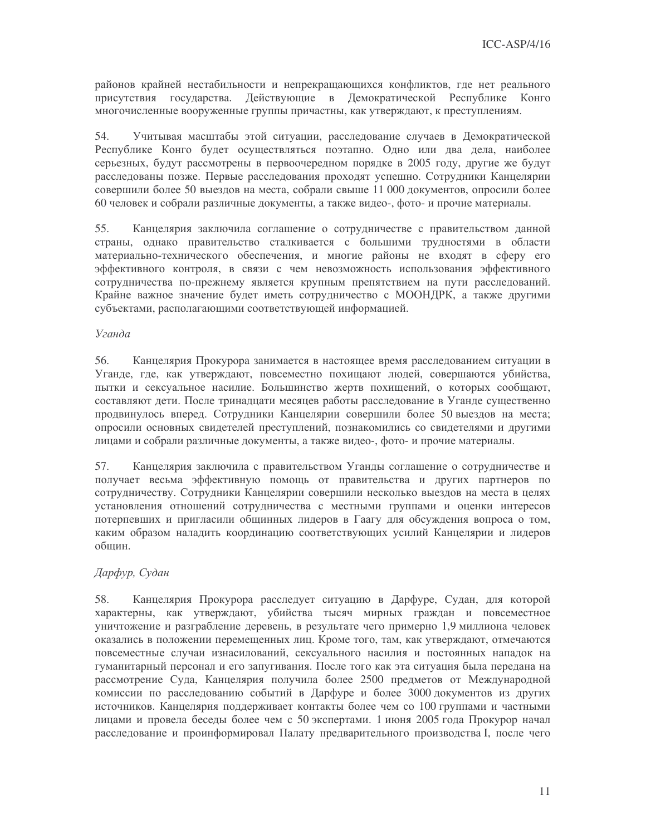районов крайней нестабильности и непрекращающихся конфликтов, где нет реального присутствия государства. Действующие в Демократической Республике Конго многочисленные вооруженные группы причастны, как утверждают, к преступлениям.

Учитывая масштабы этой ситуации, расследование случаев в Демократической 54. Республике Конго будет осуществляться поэтапно. Одно или два дела, наиболее серьезных, будут рассмотрены в первоочередном порядке в 2005 году, другие же будут расследованы позже. Первые расследования проходят успешно. Сотрудники Канцелярии совершили более 50 выездов на места, собрали свыше 11 000 документов, опросили более 60 человек и собрали различные документы, а также видео-, фото- и прочие материалы.

55. Канцелярия заключила соглашение о сотрудничестве с правительством данной страны, однако правительство сталкивается с большими трудностями в области материально-технического обеспечения, и многие районы не входят в сферу его эффективного контроля, в связи с чем невозможность использования эффективного сотрудничества по-прежнему является крупным препятствием на пути расследований. Крайне важное значение будет иметь сотрудничество с МООНДРК, а также другими субъектами, располагающими соответствующей информацией.

### Уганда

56. Канцелярия Прокурора занимается в настоящее время расследованием ситуации в Уганде, где, как утверждают, повсеместно похищают людей, совершаются убийства, пытки и сексуальное насилие. Большинство жертв похищений, о которых сообщают, составляют дети. После тринадцати месяцев работы расследование в Уганде существенно продвинулось вперед. Сотрудники Канцелярии совершили более 50 выездов на места; опросили основных свидетелей преступлений, познакомились со свидетелями и другими лицами и собрали различные документы, а также видео-, фото- и прочие материалы.

57. Канцелярия заключила с правительством Уганды соглашение о сотрудничестве и получает весьма эффективную помощь от правительства и других партнеров по сотрудничеству. Сотрудники Канцелярии совершили несколько выездов на места в целях установления отношений сотрудничества с местными группами и оценки интересов потерпевших и пригласили общинных лидеров в Гаагу для обсуждения вопроса о том, каким образом наладить координацию соответствующих усилий Канцелярии и лидеров обшин.

## Дарфур, Судан

Канцелярия Прокурора расследует ситуацию в Дарфуре, Судан, для которой 58. характерны, как утверждают, убийства тысяч мирных граждан и повсеместное уничтожение и разграбление деревень, в результате чего примерно 1,9 миллиона человек оказались в положении перемещенных лиц. Кроме того, там, как утверждают, отмечаются повсеместные случаи изнасилований, сексуального насилия и постоянных нападок на гуманитарный персонал и его запугивания. После того как эта ситуация была передана на рассмотрение Суда, Канцелярия получила более 2500 предметов от Международной комиссии по расследованию событий в Дарфуре и более 3000 документов из других источников. Канцелярия поддерживает контакты более чем со 100 группами и частными лицами и провела беседы более чем с 50 экспертами. 1 июня 2005 года Прокурор начал расследование и проинформировал Палату предварительного производства I, после чего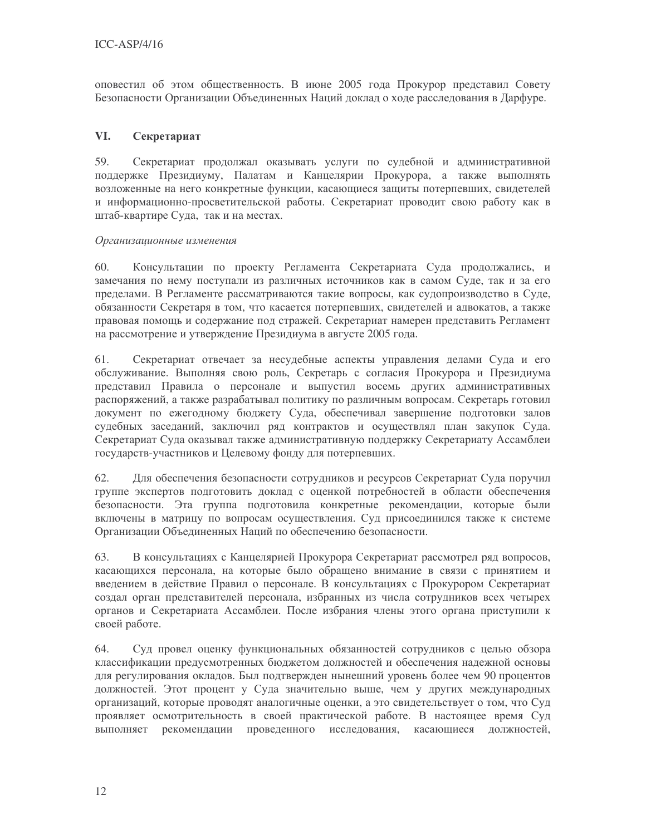оповестил об этом общественность. В июне 2005 года Прокурор представил Совету Безопасности Организации Объединенных Наций доклад о ходе расследования в Дарфуре.

#### VI. Секретариат

Секретариат продолжал оказывать услуги по судебной и административной 59. поддержке Президиуму, Палатам и Канцелярии Прокурора, а также выполнять возложенные на него конкретные функции, касающиеся защиты потерпевших, свидетелей и информационно-просветительской работы. Секретариат проводит свою работу как в штаб-квартире Суда, так и на местах.

### Организационные изменения

Консультации по проекту Регламента Секретариата Суда продолжались, и 60. замечания по нему поступали из различных источников как в самом Суде, так и за его пределами. В Регламенте рассматриваются такие вопросы, как судопроизводство в Суде, обязанности Секретаря в том, что касается потерпевших, свидетелей и адвокатов, а также правовая помощь и содержание под стражей. Секретариат намерен представить Регламент на рассмотрение и утверждение Президиума в августе 2005 года.

61. Секретариат отвечает за несудебные аспекты управления делами Суда и его обслуживание. Выполняя свою роль, Секретарь с согласия Прокурора и Президиума представил Правила о персонале и выпустил восемь других административных распоряжений, а также разрабатывал политику по различным вопросам. Секретарь готовил документ по ежегодному бюджету Суда, обеспечивал завершение подготовки залов судебных заседаний, заключил ряд контрактов и осуществлял план закупок Суда. Секретариат Суда оказывал также административную поддержку Секретариату Ассамблеи государств-участников и Целевому фонду для потерпевших.

62. Для обеспечения безопасности сотрудников и ресурсов Секретариат Суда поручил группе экспертов подготовить доклад с оценкой потребностей в области обеспечения безопасности. Эта группа подготовила конкретные рекомендации, которые были включены в матрицу по вопросам осуществления. Суд присоединился также к системе Организации Объединенных Наций по обеспечению безопасности.

63. В консультациях с Канцелярией Прокурора Секретариат рассмотрел ряд вопросов, касающихся персонала, на которые было обращено внимание в связи с принятием и введением в действие Правил о персонале. В консультациях с Прокурором Секретариат создал орган представителей персонала, избранных из числа сотрудников всех четырех органов и Секретариата Ассамблеи. После избрания члены этого органа приступили к своей работе.

Суд провел оценку функциональных обязанностей сотрудников с целью обзора 64. классификации предусмотренных бюджетом должностей и обеспечения надежной основы для регулирования окладов. Был подтвержден нынешний уровень более чем 90 процентов должностей. Этот процент у Суда значительно выше, чем у других международных организаций, которые проводят аналогичные оценки, а это свидетельствует о том, что Суд проявляет осмотрительность в своей практической работе. В настоящее время Суд выполняет рекомендации проведенного исследования, касающиеся должностей,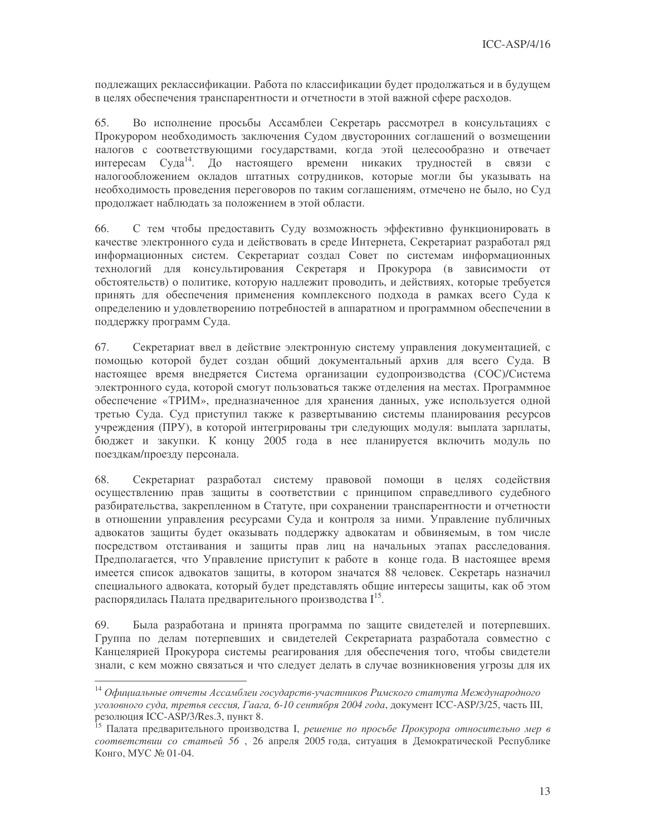подлежащих реклассификации. Работа по классификации будет продолжаться и в будущем в целях обеспечения транспарентности и отчетности в этой важной сфере расходов.

65. Во исполнение просьбы Ассамблеи Секретарь рассмотрел в консультациях с Прокурором необходимость заключения Судом двусторонних соглашений о возмещении налогов с соответствующими государствами, когда этой целесообразно и отвечает интересам Суда<sup>14</sup>. До настоящего времени никаких трудностей в связи с налогообложением окладов штатных сотрудников, которые могли бы указывать на необходимость проведения переговоров по таким соглашениям, отмечено не было, но Суд продолжает наблюдать за положением в этой области.

С тем чтобы предоставить Суду возможность эффективно функционировать в 66. качестве электронного суда и действовать в среде Интернета, Секретариат разработал ряд информационных систем. Секретариат создал Совет по системам информационных технологий для консультирования Секретаря и Прокурора (в зависимости от обстоятельств) о политике, которую надлежит проводить, и действиях, которые требуется принять для обеспечения применения комплексного подхода в рамках всего Суда к определению и удовлетворению потребностей в аппаратном и программном обеспечении в поддержку программ Суда.

67. Секретариат ввел в действие электронную систему управления документацией, с помощью которой будет создан общий документальный архив для всего Суда. В настоящее время внедряется Система организации судопроизводства (СОС)/Система электронного суда, которой смогут пользоваться также отделения на местах. Программное обеспечение «ТРИМ», предназначенное для хранения данных, уже используется одной третью Суда. Суд приступил также к развертыванию системы планирования ресурсов учреждения (ПРУ), в которой интегрированы три следующих модуля: выплата зарплаты, бюджет и закупки. К концу 2005 года в нее планируется включить модуль по поездкам/проезду персонала.

68. Секретариат разработал систему правовой помощи в целях содействия осуществлению прав защиты в соответствии с принципом справедливого судебного разбирательства, закрепленном в Статуте, при сохранении транспарентности и отчетности в отношении управления ресурсами Суда и контроля за ними. Управление публичных адвокатов защиты будет оказывать поддержку адвокатам и обвиняемым, в том числе посредством отстаивания и защиты прав лиц на начальных этапах расследования. Предполагается, что Управление приступит к работе в конце года. В настоящее время имеется список адвокатов защиты, в котором значатся 88 человек. Секретарь назначил специального адвоката, который будет представлять общие интересы защиты, как об этом распорядилась Палата предварительного производства  $I^{15}$ .

69. Была разработана и принята программа по защите свидетелей и потерпевших. Группа по делам потерпевших и свидетелей Секретариата разработала совместно с Канцелярией Прокурора системы реагирования для обеспечения того, чтобы свидетели знали, с кем можно связаться и что следует делать в случае возникновения угрозы для их

<sup>&</sup>lt;sup>14</sup> Официальные отчеты Ассамблеи государств-участников Римского статута Международного уголовного суда, третья сессия, Гаага, 6-10 сентября 2004 года, документ ICC-ASP/3/25, часть III, -<br>резолюция ICC-ASP/3/Res.3, пункт 8.<br><sup>15</sup> Палата предварительного производства I, *решение по просьбе Прокурора относительно мер в* 

соответствии со статьей 56, 26 апреля 2005 года, ситуация в Демократической Республике Конго, МУС № 01-04.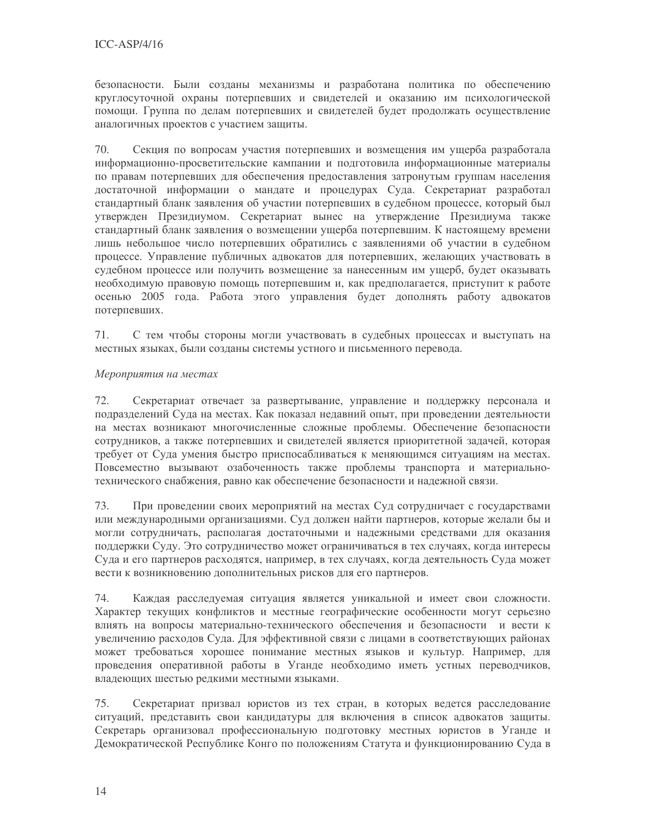безопасности. Были созданы механизмы и разработана политика по обеспечению круглосуточной охраны потерпевших и свидетелей и оказанию им психологической помощи. Группа по делам потерпевших и свидетелей будет продолжать осуществление аналогичных проектов с участием защиты.

70. Секция по вопросам участия потерпевших и возмещения им ущерба разработала информационно-просветительские кампании и подготовила информационные материалы по правам потерпевших для обеспечения предоставления затронутым группам населения достаточной информации о мандате и процедурах Суда. Секретариат разработал стандартный бланк заявления об участии потерпевших в судебном процессе, который был утвержден Президиумом. Секретариат вынес на утверждение Президиума также стандартный бланк заявления о возмещении ущерба потерпевшим. К настоящему времени лишь небольшое число потерпевших обратились с заявлениями об участии в судебном процессе. Управление публичных адвокатов для потерпевших, желающих участвовать в судебном процессе или получить возмещение за нанесенным им ущерб, будет оказывать необходимую правовую помощь потерпевшим и, как предполагается, приступит к работе осенью 2005 года. Работа этого управления будет дополнять работу адвокатов потерпевших.

С тем чтобы стороны могли участвовать в судебных процессах и выступать на 71. местных языках, были созданы системы устного и письменного перевода.

### Мероприятия на местах

72. Секретариат отвечает за развертывание, управление и поддержку персонала и подразделений Суда на местах. Как показал недавний опыт, при проведении деятельности на местах возникают многочисленные сложные проблемы. Обеспечение безопасности сотрудников, а также потерпевших и свидетелей является приоритетной задачей, которая требует от Суда умения быстро приспосабливаться к меняющимся ситуациям на местах. Повсеместно вызывают озабоченность также проблемы транспорта и материальнотехнического снабжения, равно как обеспечение безопасности и надежной связи.

73. При проведении своих мероприятий на местах Суд сотрудничает с государствами или международными организациями. Суд должен найти партнеров, которые желали бы и могли сотрудничать, располагая достаточными и надежными средствами для оказания поддержки Суду. Это сотрудничество может ограничиваться в тех случаях, когда интересы Суда и его партнеров расходятся, например, в тех случаях, когда деятельность Суда может вести к возникновению дополнительных рисков для его партнеров.

Каждая расследуемая ситуация является уникальной и имеет свои сложности. 74. Характер текущих конфликтов и местные географические особенности могут серьезно влиять на вопросы материально-технического обеспечения и безопасности и вести к увеличению расходов Суда. Для эффективной связи с лицами в соответствующих районах может требоваться хорошее понимание местных языков и культур. Например, для проведения оперативной работы в Уганде необходимо иметь устных переводчиков, владеющих шестью редкими местными языками.

75. Секретариат призвал юристов из тех стран, в которых ведется расследование ситуаций, представить свои кандидатуры для включения в список адвокатов защиты. Секретарь организовал профессиональную подготовку местных юристов в Уганде и Демократической Республике Конго по положениям Статута и функционированию Суда в